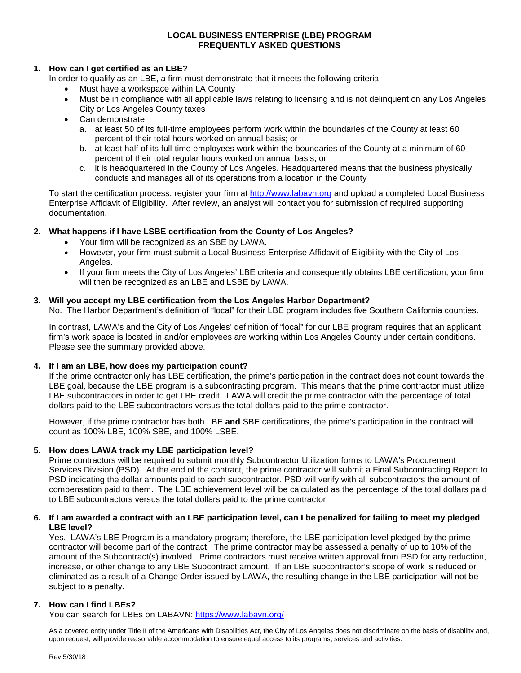# **LOCAL BUSINESS ENTERPRISE (LBE) PROGRAM FREQUENTLY ASKED QUESTIONS**

## **1. How can I get certified as an LBE?**

In order to qualify as an LBE, a firm must demonstrate that it meets the following criteria:

- Must have a workspace within LA County
- Must be in compliance with all applicable laws relating to licensing and is not delinquent on any Los Angeles City or Los Angeles County taxes
- Can demonstrate:
	- a. at least 50 of its full-time employees perform work within the boundaries of the County at least 60 percent of their total hours worked on annual basis; or
	- b. at least half of its full-time employees work within the boundaries of the County at a minimum of 60 percent of their total regular hours worked on annual basis; or
	- c. it is headquartered in the County of Los Angeles. Headquartered means that the business physically conducts and manages all of its operations from a location in the County

To start the certification process, register your firm at http://www.labayn.org and upload a completed Local Business Enterprise Affidavit of Eligibility. After review, an analyst will contact you for submission of required supporting documentation.

# **2. What happens if I have LSBE certification from the County of Los Angeles?**

- Your firm will be recognized as an SBE by LAWA.
- However, your firm must submit a Local Business Enterprise Affidavit of Eligibility with the City of Los Angeles.
- If your firm meets the City of Los Angeles' LBE criteria and consequently obtains LBE certification, your firm will then be recognized as an LBE and LSBE by LAWA.

## **3. Will you accept my LBE certification from the Los Angeles Harbor Department?**

No. The Harbor Department's definition of "local" for their LBE program includes five Southern California counties.

In contrast, LAWA's and the City of Los Angeles' definition of "local" for our LBE program requires that an applicant firm's work space is located in and/or employees are working within Los Angeles County under certain conditions. Please see the summary provided above.

#### **4. If I am an LBE, how does my participation count?**

If the prime contractor only has LBE certification, the prime's participation in the contract does not count towards the LBE goal, because the LBE program is a subcontracting program. This means that the prime contractor must utilize LBE subcontractors in order to get LBE credit. LAWA will credit the prime contractor with the percentage of total dollars paid to the LBE subcontractors versus the total dollars paid to the prime contractor.

However, if the prime contractor has both LBE **and** SBE certifications, the prime's participation in the contract will count as 100% LBE, 100% SBE, and 100% LSBE.

#### **5. How does LAWA track my LBE participation level?**

Prime contractors will be required to submit monthly Subcontractor Utilization forms to LAWA's Procurement Services Division (PSD). At the end of the contract, the prime contractor will submit a Final Subcontracting Report to PSD indicating the dollar amounts paid to each subcontractor. PSD will verify with all subcontractors the amount of compensation paid to them. The LBE achievement level will be calculated as the percentage of the total dollars paid to LBE subcontractors versus the total dollars paid to the prime contractor.

#### **6. If I am awarded a contract with an LBE participation level, can I be penalized for failing to meet my pledged LBE level?**

Yes. LAWA's LBE Program is a mandatory program; therefore, the LBE participation level pledged by the prime contractor will become part of the contract. The prime contractor may be assessed a penalty of up to 10% of the amount of the Subcontract(s) involved. Prime contractors must receive written approval from PSD for any reduction, increase, or other change to any LBE Subcontract amount. If an LBE subcontractor's scope of work is reduced or eliminated as a result of a Change Order issued by LAWA, the resulting change in the LBE participation will not be subject to a penalty.

#### **7. How can I find LBEs?**

You can search for LBEs on LABAVN:<https://www.labavn.org/>

As a covered entity under Title II of the Americans with Disabilities Act, the City of Los Angeles does not discriminate on the basis of disability and, upon request, will provide reasonable accommodation to ensure equal access to its programs, services and activities.